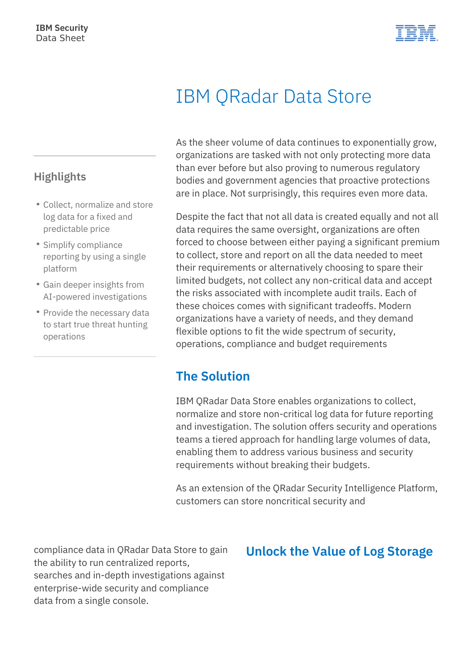

# IBM QRadar Data Store

As the sheer volume of data continues to exponentially grow, organizations are tasked with not only protecting more data than ever before but also proving to numerous regulatory bodies and government agencies that proactive protections are in place. Not surprisingly, this requires even more data.

Despite the fact that not all data is created equally and not all data requires the same oversight, organizations are often forced to choose between either paying a significant premium to collect, store and report on all the data needed to meet their requirements or alternatively choosing to spare their limited budgets, not collect any non-critical data and accept the risks associated with incomplete audit trails. Each of these choices comes with significant tradeoffs. Modern organizations have a variety of needs, and they demand flexible options to fit the wide spectrum of security, operations, compliance and budget requirements

## **The Solution**

IBM QRadar Data Store enables organizations to collect, normalize and store non-critical log data for future reporting and investigation. The solution offers security and operations teams a tiered approach for handling large volumes of data, enabling them to address various business and security requirements without breaking their budgets.

As an extension of the QRadar Security Intelligence Platform, customers can store noncritical security and

compliance data in QRadar Data Store to gain the ability to run centralized reports, searches and in-depth investigations against enterprise-wide security and compliance data from a single console.

#### **Unlock the Value of Log Storage**

#### **Highlights**

- Collect, normalize and store log data for a fixed and predictable price
- Simplify compliance reporting by using a single platform
- Gain deeper insights from AI-powered investigations
- Provide the necessary data to start true threat hunting operations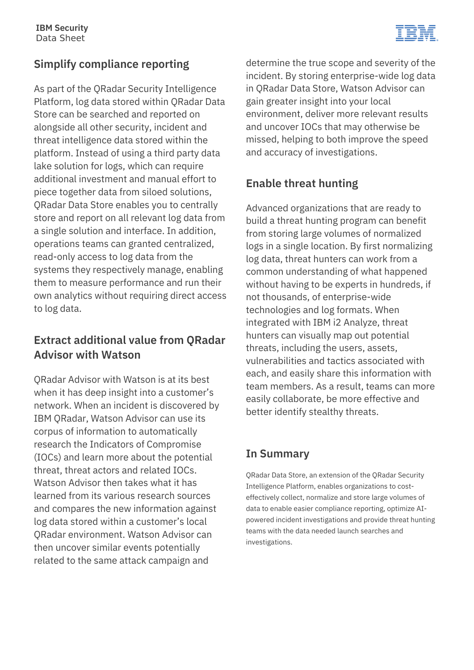

## **Simplify compliance reporting**

As part of the QRadar Security Intelligence Platform, log data stored within QRadar Data Store can be searched and reported on alongside all other security, incident and threat intelligence data stored within the platform. Instead of using a third party data lake solution for logs, which can require additional investment and manual effort to piece together data from siloed solutions, QRadar Data Store enables you to centrally store and report on all relevant log data from a single solution and interface. In addition, operations teams can granted centralized, read-only access to log data from the systems they respectively manage, enabling them to measure performance and run their own analytics without requiring direct access to log data.

#### **Extract additional value from QRadar Advisor with Watson**

QRadar Advisor with Watson is at its best when it has deep insight into a customer's network. When an incident is discovered by IBM QRadar, Watson Advisor can use its corpus of information to automatically research the Indicators of Compromise (IOCs) and learn more about the potential threat, threat actors and related IOCs. Watson Advisor then takes what it has learned from its various research sources and compares the new information against log data stored within a customer's local QRadar environment. Watson Advisor can then uncover similar events potentially related to the same attack campaign and

determine the true scope and severity of the incident. By storing enterprise-wide log data in QRadar Data Store, Watson Advisor can gain greater insight into your local environment, deliver more relevant results and uncover IOCs that may otherwise be missed, helping to both improve the speed and accuracy of investigations.

### **Enable threat hunting**

Advanced organizations that are ready to build a threat hunting program can benefit from storing large volumes of normalized logs in a single location. By first normalizing log data, threat hunters can work from a common understanding of what happened without having to be experts in hundreds, if not thousands, of enterprise-wide technologies and log formats. When integrated with IBM i2 Analyze, threat hunters can visually map out potential threats, including the users, assets, vulnerabilities and tactics associated with each, and easily share this information with team members. As a result, teams can more easily collaborate, be more effective and better identify stealthy threats.

#### **In Summary**

QRadar Data Store, an extension of the QRadar Security Intelligence Platform, enables organizations to costeffectively collect, normalize and store large volumes of data to enable easier compliance reporting, optimize AIpowered incident investigations and provide threat hunting teams with the data needed launch searches and investigations.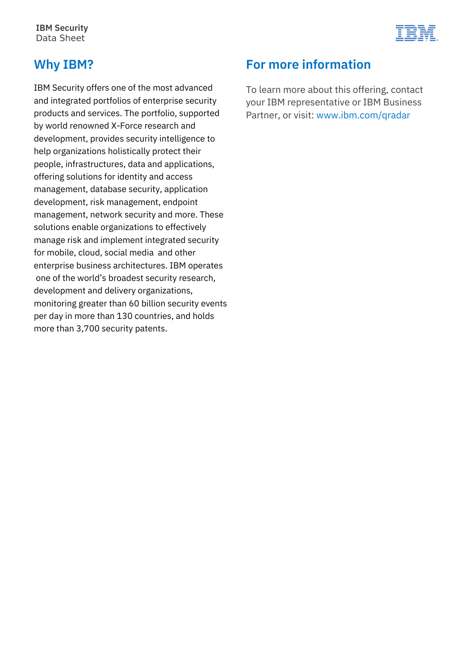**IBM Security** Data Sheet



#### **Why IBM?**

IBM Security offers one of the most advanced and integrated portfolios of enterprise security products and services. The portfolio, supported by world renowned X-Force research and development, provides security intelligence to help organizations holistically protect their people, infrastructures, data and applications, offering solutions for identity and access management, database security, application development, risk management, endpoint management, network security and more. These solutions enable organizations to effectively manage risk and implement integrated security for mobile, cloud, social media and other enterprise business architectures. IBM operates one of the world's broadest security research, development and delivery organizations, monitoring greater than 60 billion security events per day in more than 130 countries, and holds more than 3,700 security patents.

## **For more information**

To learn more about this offering, contact your IBM representative or IBM Business Partner, or visit: [www.ibm.com/qradar](https://cms.ibm.com/www.ibm.com/security/security-intelligence/qradar)